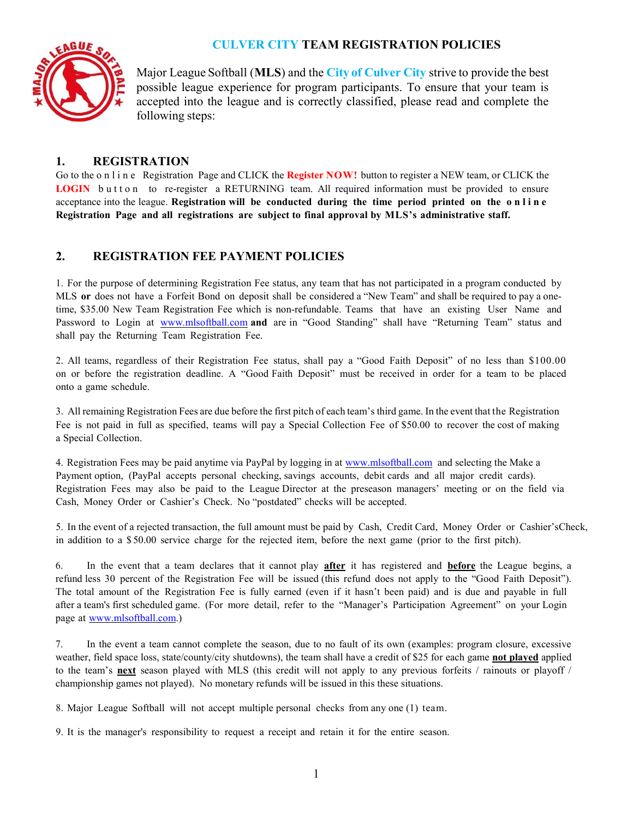# CULVER CITY TEAM REGISTRATION POLICIES



Major League Softball (MLS) and the City of Culver City strive to provide the best possible league experience for program participants. To ensure that your team is accepted into the league and is correctly classified, please read and complete the following steps:

# 1. REGISTRATION

Go to the o n l i n e Registration Page and CLICK the Register NOW! button to register a NEW team, or CLICK the LOGIN button to re-register a RETURNING team. All required information must be provided to ensure acceptance into the league. Registration will be conducted during the time period printed on the online Registration Page and all registrations are subject to final approval by MLS's administrative staff.

# 2. REGISTRATION FEE PAYMENT POLICIES

1. For the purpose of determining Registration Fee status, any team that has not participated in a program conducted by MLS or does not have a Forfeit Bond on deposit shall be considered a "New Team" and shall be required to pay a onetime, \$35.00 New Team Registration Fee which is non-refundable. Teams that have an existing User Name and Password to Login at www.mlsoftball.com and are in "Good Standing" shall have "Returning Team" status and shall pay the Returning Team Registration Fee.

2. All teams, regardless of their Registration Fee status, shall pay a "Good Faith Deposit" of no less than \$100.00 on or before the registration deadline. A "Good Faith Deposit" must be received in order for a team to be placed onto a game schedule.

3. All remaining Registration Fees are due before the first pitch of each team's third game. In the event that the Registration Fee is not paid in full as specified, teams will pay a Special Collection Fee of \$50.00 to recover the cost of making a Special Collection.

4. Registration Fees may be paid anytime via PayPal by logging in at www.mlsoftball.com and selecting the Make a Payment option, (PayPal accepts personal checking, savings accounts, debit cards and all major credit cards). Registration Fees may also be paid to the League Director at the preseason managers' meeting or on the field via Cash, Money Order or Cashier's Check. No "postdated" checks will be accepted.

5. In the event of a rejected transaction, the full amount must be paid by Cash, Credit Card, Money Order or Cashier's Check, in addition to a \$ 50.00 service charge for the rejected item, before the next game (prior to the first pitch).

6. In the event that a team declares that it cannot play after it has registered and before the League begins, a refund less 30 percent of the Registration Fee will be issued (this refund does not apply to the "Good Faith Deposit"). The total amount of the Registration Fee is fully earned (even if it hasn't been paid) and is due and payable in full after a team's first scheduled game. (For more detail, refer to the "Manager's Participation Agreement" on your Login page at www.mlsoftball.com.)

7. In the event a team cannot complete the season, due to no fault of its own (examples: program closure, excessive weather, field space loss, state/county/city shutdowns), the team shall have a credit of \$25 for each game **not played** applied to the team's next season played with MLS (this credit will not apply to any previous forfeits / rainouts or playoff / championship games not played). No monetary refunds will be issued in this these situations.

8. Major League Softball will not accept multiple personal checks from any one (1) team.

9. It is the manager's responsibility to request a receipt and retain it for the entire season.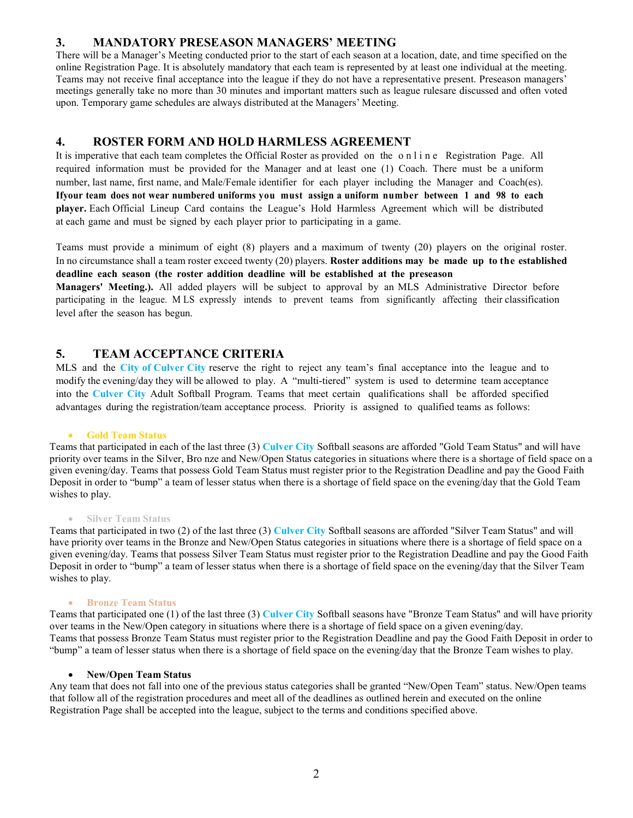### 3. MANDATORY PRESEASON MANAGERS' MEETING

There will be a Manager's Meeting conducted prior to the start of each season at a location, date, and time specified on the online Registration Page. It is absolutely mandatory that each team is represented by at least one individual at the meeting. Teams may not receive final acceptance into the league if they do not have a representative present. Preseason managers' meetings generally take no more than 30 minutes and important matters such as league rules are discussed and often voted upon. Temporary game schedules are always distributed at the Managers' Meeting.

### 4. ROSTER FORM AND HOLD HARMLESS AGREEMENT

It is imperative that each team completes the Official Roster as provided on the online Registration Page. All required information must be provided for the Manager and at least one (1) Coach. There must be a uniform number, last name, first name, and Male/Female identifier for each player including the Manager and Coach(es). If your team does not wear numbered uniforms you must assign a uniform number between 1 and 98 to each player. Each Official Lineup Card contains the League's Hold Harmless Agreement which will be distributed at each game and must be signed by each player prior to participating in a game.

Teams must provide a minimum of eight (8) players and a maximum of twenty (20) players on the original roster. In no circumstance shall a team roster exceed twenty (20) players. Roster additions may be made up to the established deadline each season (the roster addition deadline will be established at the preseason

Managers' Meeting.). All added players will be subject to approval by an MLS Administrative Director before participating in the league. M LS expressly intends to prevent teams from significantly affecting their classification level after the season has begun.

## 5. TEAM ACCEPTANCE CRITERIA

MLS and the City of Culver City reserve the right to reject any team's final acceptance into the league and to modify the evening/day they will be allowed to play. A "multi-tiered" system is used to determine team acceptance into the Culver City Adult Softball Program. Teams that meet certain qualifications shall be afforded specified advantages during the registration/team acceptance process. Priority is assigned to qualified teams as follows:

#### Gold Team Status

Teams that participated in each of the last three (3) Culver City Softball seasons are afforded "Gold Team Status" and will have priority over teams in the Silver, Bro nze and New/Open Status categories in situations where there is a shortage of field space on a given evening/day. Teams that possess Gold Team Status must register prior to the Registration Deadline and pay the Good Faith Deposit in order to "bump" a team of lesser status when there is a shortage of field space on the evening/day that the Gold Team wishes to play.

#### • Silver Team Status

Teams that participated in two (2) of the last three (3) Culver City Softball seasons are afforded "Silver Team Status" and will have priority over teams in the Bronze and New/Open Status categories in situations where there is a shortage of field space on a given evening/day. Teams that possess Silver Team Status must register prior to the Registration Deadline and pay the Good Faith Deposit in order to "bump" a team of lesser status when there is a shortage of field space on the evening/day that the Silver Team wishes to play.

#### Bronze Team Status

Teams that participated one (1) of the last three (3) Culver City Softball seasons have "Bronze Team Status" and will have priority over teams in the New/Open category in situations where there is a shortage of field space on a given evening/day. Teams that possess Bronze Team Status must register prior to the Registration Deadline and pay the Good Faith Deposit in order to "bump" a team of lesser status when there is a shortage of field space on the evening/day that the Bronze Team wishes to play.

#### New/Open Team Status

Any team that does not fall into one of the previous status categories shall be granted "New/Open Team" status. New/Open teams that follow all of the registration procedures and meet all of the deadlines as outlined herein and executed on the online Registration Page shall be accepted into the league, subject to the terms and conditions specified above.